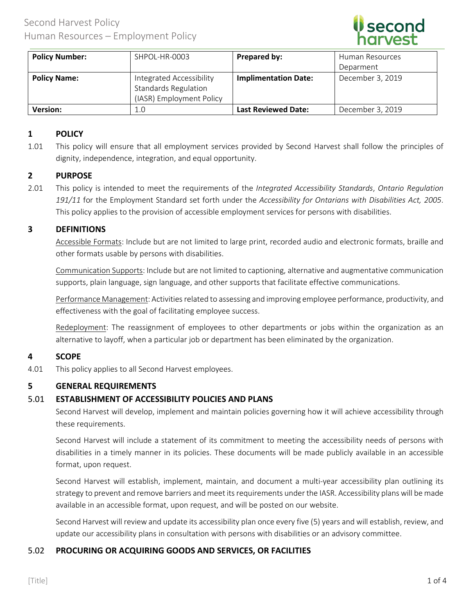

| <b>Policy Number:</b> | SHPOL-HR-0003                                                                       | Prepared by:                | Human Resources  |
|-----------------------|-------------------------------------------------------------------------------------|-----------------------------|------------------|
|                       |                                                                                     |                             | Deparment        |
| <b>Policy Name:</b>   | Integrated Accessibility<br><b>Standards Regulation</b><br>(IASR) Employment Policy | <b>Implimentation Date:</b> | December 3, 2019 |
| <b>Version:</b>       | 1.0                                                                                 | <b>Last Reviewed Date:</b>  | December 3, 2019 |

# **1 POLICY**

1.01 This policy will ensure that all employment services provided by Second Harvest shall follow the principles of dignity, independence, integration, and equal opportunity.

## **2 PURPOSE**

2.01 This policy is intended to meet the requirements of the *Integrated Accessibility Standards*, *Ontario Regulation 191/11* for the Employment Standard set forth under the *Accessibility for Ontarians with Disabilities Act, 2005*. This policy applies to the provision of accessible employment services for persons with disabilities.

#### **3 DEFINITIONS**

Accessible Formats: Include but are not limited to large print, recorded audio and electronic formats, braille and other formats usable by persons with disabilities.

Communication Supports: Include but are not limited to captioning, alternative and augmentative communication supports, plain language, sign language, and other supports that facilitate effective communications.

Performance Management: Activities related to assessing and improving employee performance, productivity, and effectiveness with the goal of facilitating employee success.

Redeployment: The reassignment of employees to other departments or jobs within the organization as an alternative to layoff, when a particular job or department has been eliminated by the organization.

## **4 SCOPE**

4.01 This policy applies to all Second Harvest employees.

## **5 GENERAL REQUIREMENTS**

#### 5.01 **ESTABLISHMENT OF ACCESSIBILITY POLICIES AND PLANS**

Second Harvest will develop, implement and maintain policies governing how it will achieve accessibility through these requirements.

Second Harvest will include a statement of its commitment to meeting the accessibility needs of persons with disabilities in a timely manner in its policies. These documents will be made publicly available in an accessible format, upon request.

Second Harvest will establish, implement, maintain, and document a multi-year accessibility plan outlining its strategy to prevent and remove barriers and meet its requirements under the IASR. Accessibility plans will be made available in an accessible format, upon request, and will be posted on our website.

Second Harvest will review and update its accessibility plan once every five (5) years and will establish, review, and update our accessibility plans in consultation with persons with disabilities or an advisory committee.

## 5.02 **PROCURING OR ACQUIRING GOODS AND SERVICES, OR FACILITIES**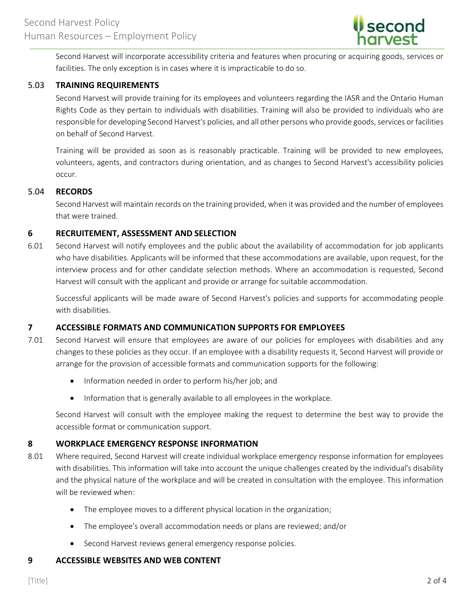

Second Harvest will incorporate accessibility criteria and features when procuring or acquiring goods, services or facilities. The only exception is in cases where it is impracticable to do so.

# 5.03 **TRAINING REQUIREMENTS**

Second Harvest will provide training for its employees and volunteers regarding the IASR and the Ontario Human Rights Code as they pertain to individuals with disabilities. Training will also be provided to individuals who are responsible for developing Second Harvest's policies, and all other persons who provide goods, services or facilities on behalf of Second Harvest.

Training will be provided as soon as is reasonably practicable. Training will be provided to new employees, volunteers, agents, and contractors during orientation, and as changes to Second Harvest's accessibility policies occur.

#### 5.04 **RECORDS**

Second Harvest will maintain records on the training provided, when it was provided and the number of employees that were trained.

## **6 RECRUITEMENT, ASSESSMENT AND SELECTION**

6.01 Second Harvest will notify employees and the public about the availability of accommodation for job applicants who have disabilities. Applicants will be informed that these accommodations are available, upon request, for the interview process and for other candidate selection methods. Where an accommodation is requested, Second Harvest will consult with the applicant and provide or arrange for suitable accommodation.

Successful applicants will be made aware of Second Harvest's policies and supports for accommodating people with disabilities.

## **7 ACCESSIBLE FORMATS AND COMMUNICATION SUPPORTS FOR EMPLOYEES**

- 7.01 Second Harvest will ensure that employees are aware of our policies for employees with disabilities and any changes to these policies as they occur. If an employee with a disability requests it, Second Harvest will provide or arrange for the provision of accessible formats and communication supports for the following:
	- Information needed in order to perform his/her job; and
	- Information that is generally available to all employees in the workplace.

Second Harvest will consult with the employee making the request to determine the best way to provide the accessible format or communication support.

## **8 WORKPLACE EMERGENCY RESPONSE INFORMATION**

- 8.01 Where required, Second Harvest will create individual workplace emergency response information for employees with disabilities. This information will take into account the unique challenges created by the individual's disability and the physical nature of the workplace and will be created in consultation with the employee. This information will be reviewed when:
	- The employee moves to a different physical location in the organization;
	- The employee's overall accommodation needs or plans are reviewed; and/or
	- Second Harvest reviews general emergency response policies.

## **9 ACCESSIBLE WEBSITES AND WEB CONTENT**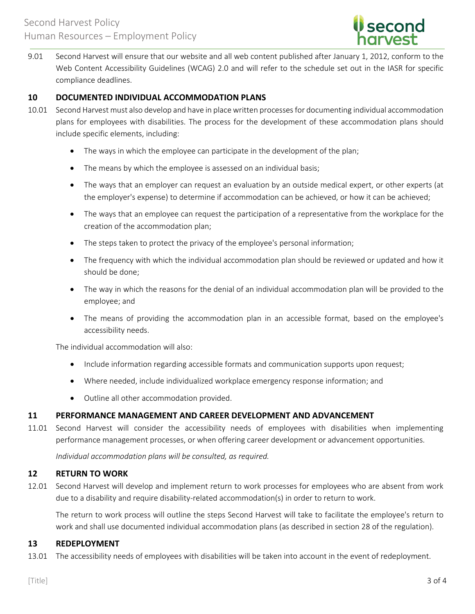

9.01 Second Harvest will ensure that our website and all web content published after January 1, 2012, conform to the Web Content Accessibility Guidelines (WCAG) 2.0 and will refer to the schedule set out in the IASR for specific compliance deadlines.

## **10 DOCUMENTED INDIVIDUAL ACCOMMODATION PLANS**

- 10.01 Second Harvest must also develop and have in place written processes for documenting individual accommodation plans for employees with disabilities. The process for the development of these accommodation plans should include specific elements, including:
	- The ways in which the employee can participate in the development of the plan;
	- The means by which the employee is assessed on an individual basis;
	- The ways that an employer can request an evaluation by an outside medical expert, or other experts (at the employer's expense) to determine if accommodation can be achieved, or how it can be achieved;
	- The ways that an employee can request the participation of a representative from the workplace for the creation of the accommodation plan;
	- The steps taken to protect the privacy of the employee's personal information;
	- The frequency with which the individual accommodation plan should be reviewed or updated and how it should be done;
	- The way in which the reasons for the denial of an individual accommodation plan will be provided to the employee; and
	- The means of providing the accommodation plan in an accessible format, based on the employee's accessibility needs.

The individual accommodation will also:

- Include information regarding accessible formats and communication supports upon request;
- Where needed, include individualized workplace emergency response information; and
- Outline all other accommodation provided.

## **11 PERFORMANCE MANAGEMENT AND CAREER DEVELOPMENT AND ADVANCEMENT**

11.01 Second Harvest will consider the accessibility needs of employees with disabilities when implementing performance management processes, or when offering career development or advancement opportunities.

*Individual accommodation plans will be consulted, as required.*

#### **12 RETURN TO WORK**

12.01 Second Harvest will develop and implement return to work processes for employees who are absent from work due to a disability and require disability-related accommodation(s) in order to return to work.

The return to work process will outline the steps Second Harvest will take to facilitate the employee's return to work and shall use documented individual accommodation plans (as described in section 28 of the regulation).

## **13 REDEPLOYMENT**

13.01 The accessibility needs of employees with disabilities will be taken into account in the event of redeployment.